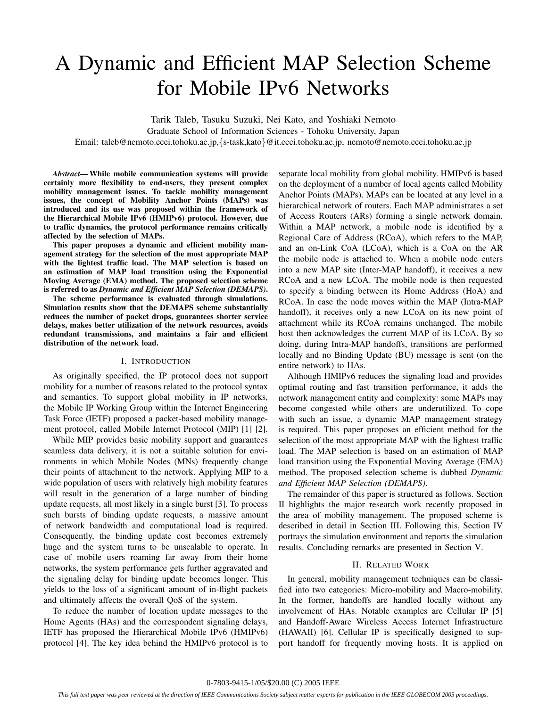# A Dynamic and Efficient MAP Selection Scheme for Mobile IPv6 Networks

Tarik Taleb, Tasuku Suzuki, Nei Kato, and Yoshiaki Nemoto

Graduate School of Information Sciences - Tohoku University, Japan

Email: taleb@nemoto.ecei.tohoku.ac.jp,*{*s-task,kato*}*@it.ecei.tohoku.ac.jp, nemoto@nemoto.ecei.tohoku.ac.jp

*Abstract***— While mobile communication systems will provide certainly more flexibility to end-users, they present complex mobility management issues. To tackle mobility management issues, the concept of Mobility Anchor Points (MAPs) was introduced and its use was proposed within the framework of the Hierarchical Mobile IPv6 (HMIPv6) protocol. However, due to traffic dynamics, the protocol performance remains critically affected by the selection of MAPs.**

**This paper proposes a dynamic and efficient mobility management strategy for the selection of the most appropriate MAP with the lightest traffic load. The MAP selection is based on an estimation of MAP load transition using the Exponential Moving Average (EMA) method. The proposed selection scheme is referred to as** *Dynamic and Efficient MAP Selection (DEMAPS)***.**

**The scheme performance is evaluated through simulations. Simulation results show that the DEMAPS scheme substantially reduces the number of packet drops, guarantees shorter service delays, makes better utilization of the network resources, avoids redundant transmissions, and maintains a fair and efficient distribution of the network load.**

#### I. INTRODUCTION

As originally specified, the IP protocol does not support mobility for a number of reasons related to the protocol syntax and semantics. To support global mobility in IP networks, the Mobile IP Working Group within the Internet Engineering Task Force (IETF) proposed a packet-based mobility management protocol, called Mobile Internet Protocol (MIP) [1] [2].

While MIP provides basic mobility support and guarantees seamless data delivery, it is not a suitable solution for environments in which Mobile Nodes (MNs) frequently change their points of attachment to the network. Applying MIP to a wide population of users with relatively high mobility features will result in the generation of a large number of binding update requests, all most likely in a single burst [3]. To process such bursts of binding update requests, a massive amount of network bandwidth and computational load is required. Consequently, the binding update cost becomes extremely huge and the system turns to be unscalable to operate. In case of mobile users roaming far away from their home networks, the system performance gets further aggravated and the signaling delay for binding update becomes longer. This yields to the loss of a significant amount of in-flight packets and ultimately affects the overall QoS of the system.

To reduce the number of location update messages to the Home Agents (HAs) and the correspondent signaling delays, IETF has proposed the Hierarchical Mobile IPv6 (HMIPv6) protocol [4]. The key idea behind the HMIPv6 protocol is to

separate local mobility from global mobility. HMIPv6 is based on the deployment of a number of local agents called Mobility Anchor Points (MAPs). MAPs can be located at any level in a hierarchical network of routers. Each MAP administrates a set of Access Routers (ARs) forming a single network domain. Within a MAP network, a mobile node is identified by a Regional Care of Address (RCoA), which refers to the MAP, and an on-Link CoA (LCoA), which is a CoA on the AR the mobile node is attached to. When a mobile node enters into a new MAP site (Inter-MAP handoff), it receives a new RCoA and a new LCoA. The mobile node is then requested to specify a binding between its Home Address (HoA) and RCoA. In case the node moves within the MAP (Intra-MAP handoff), it receives only a new LCoA on its new point of attachment while its RCoA remains unchanged. The mobile host then acknowledges the current MAP of its LCoA. By so doing, during Intra-MAP handoffs, transitions are performed locally and no Binding Update (BU) message is sent (on the entire network) to HAs.

Although HMIPv6 reduces the signaling load and provides optimal routing and fast transition performance, it adds the network management entity and complexity: some MAPs may become congested while others are underutilized. To cope with such an issue, a dynamic MAP management strategy is required. This paper proposes an efficient method for the selection of the most appropriate MAP with the lightest traffic load. The MAP selection is based on an estimation of MAP load transition using the Exponential Moving Average (EMA) method. The proposed selection scheme is dubbed *Dynamic and Efficient MAP Selection (DEMAPS)*.

The remainder of this paper is structured as follows. Section II highlights the major research work recently proposed in the area of mobility management. The proposed scheme is described in detail in Section III. Following this, Section IV portrays the simulation environment and reports the simulation results. Concluding remarks are presented in Section V.

#### II. RELATED WORK

In general, mobility management techniques can be classified into two categories: Micro-mobility and Macro-mobility. In the former, handoffs are handled locally without any involvement of HAs. Notable examples are Cellular IP [5] and Handoff-Aware Wireless Access Internet Infrastructure (HAWAII) [6]. Cellular IP is specifically designed to support handoff for frequently moving hosts. It is applied on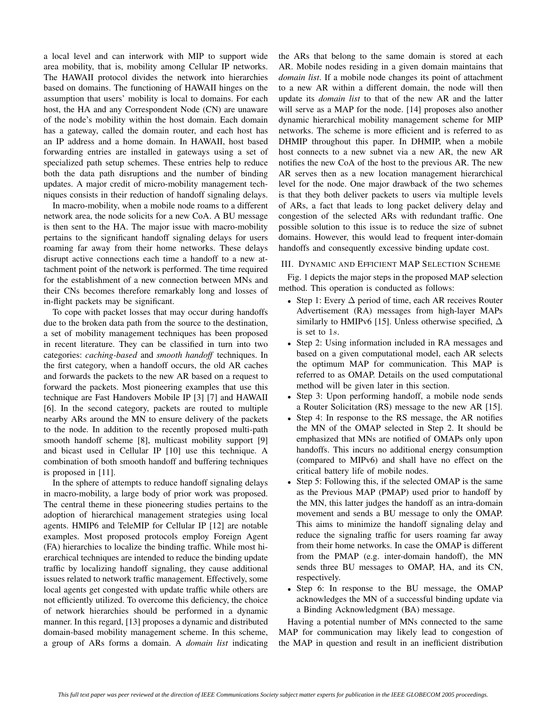a local level and can interwork with MIP to support wide area mobility, that is, mobility among Cellular IP networks. The HAWAII protocol divides the network into hierarchies based on domains. The functioning of HAWAII hinges on the assumption that users' mobility is local to domains. For each host, the HA and any Correspondent Node (CN) are unaware of the node's mobility within the host domain. Each domain has a gateway, called the domain router, and each host has an IP address and a home domain. In HAWAII, host based forwarding entries are installed in gateways using a set of specialized path setup schemes. These entries help to reduce both the data path disruptions and the number of binding updates. A major credit of micro-mobility management techniques consists in their reduction of handoff signaling delays.

In macro-mobility, when a mobile node roams to a different network area, the node solicits for a new CoA. A BU message is then sent to the HA. The major issue with macro-mobility pertains to the significant handoff signaling delays for users roaming far away from their home networks. These delays disrupt active connections each time a handoff to a new attachment point of the network is performed. The time required for the establishment of a new connection between MNs and their CNs becomes therefore remarkably long and losses of in-flight packets may be significant.

To cope with packet losses that may occur during handoffs due to the broken data path from the source to the destination, a set of mobility management techniques has been proposed in recent literature. They can be classified in turn into two categories: *caching-based* and *smooth handoff* techniques. In the first category, when a handoff occurs, the old AR caches and forwards the packets to the new AR based on a request to forward the packets. Most pioneering examples that use this technique are Fast Handovers Mobile IP [3] [7] and HAWAII [6]. In the second category, packets are routed to multiple nearby ARs around the MN to ensure delivery of the packets to the node. In addition to the recently proposed multi-path smooth handoff scheme [8], multicast mobility support [9] and bicast used in Cellular IP [10] use this technique. A combination of both smooth handoff and buffering techniques is proposed in [11].

In the sphere of attempts to reduce handoff signaling delays in macro-mobility, a large body of prior work was proposed. The central theme in these pioneering studies pertains to the adoption of hierarchical management strategies using local agents. HMIP6 and TeleMIP for Cellular IP [12] are notable examples. Most proposed protocols employ Foreign Agent (FA) hierarchies to localize the binding traffic. While most hierarchical techniques are intended to reduce the binding update traffic by localizing handoff signaling, they cause additional issues related to network traffic management. Effectively, some local agents get congested with update traffic while others are not efficiently utilized. To overcome this deficiency, the choice of network hierarchies should be performed in a dynamic manner. In this regard, [13] proposes a dynamic and distributed domain-based mobility management scheme. In this scheme, a group of ARs forms a domain. A *domain list* indicating the ARs that belong to the same domain is stored at each AR. Mobile nodes residing in a given domain maintains that *domain list*. If a mobile node changes its point of attachment to a new AR within a different domain, the node will then update its *domain list* to that of the new AR and the latter will serve as a MAP for the node. [14] proposes also another dynamic hierarchical mobility management scheme for MIP networks. The scheme is more efficient and is referred to as DHMIP throughout this paper. In DHMIP, when a mobile host connects to a new subnet via a new AR, the new AR notifies the new CoA of the host to the previous AR. The new AR serves then as a new location management hierarchical level for the node. One major drawback of the two schemes is that they both deliver packets to users via multiple levels of ARs, a fact that leads to long packet delivery delay and congestion of the selected ARs with redundant traffic. One possible solution to this issue is to reduce the size of subnet domains. However, this would lead to frequent inter-domain handoffs and consequently excessive binding update cost.

### III. DYNAMIC AND EFFICIENT MAP SELECTION SCHEME

Fig. 1 depicts the major steps in the proposed MAP selection method. This operation is conducted as follows:

- Step 1: Every  $\Delta$  period of time, each AR receives Router Advertisement (RA) messages from high-layer MAPs similarly to HMIPv6 [15]. Unless otherwise specified,  $\Delta$ is set to 1s.
- Step 2: Using information included in RA messages and based on a given computational model, each AR selects the optimum MAP for communication. This MAP is referred to as OMAP. Details on the used computational method will be given later in this section.
- Step 3: Upon performing handoff, a mobile node sends a Router Solicitation (RS) message to the new AR [15].
- Step 4: In response to the RS message, the AR notifies the MN of the OMAP selected in Step 2. It should be emphasized that MNs are notified of OMAPs only upon handoffs. This incurs no additional energy consumption (compared to MIPv6) and shall have no effect on the critical battery life of mobile nodes.
- Step 5: Following this, if the selected OMAP is the same as the Previous MAP (PMAP) used prior to handoff by the MN, this latter judges the handoff as an intra-domain movement and sends a BU message to only the OMAP. This aims to minimize the handoff signaling delay and reduce the signaling traffic for users roaming far away from their home networks. In case the OMAP is different from the PMAP (e.g. inter-domain handoff), the MN sends three BU messages to OMAP, HA, and its CN, respectively.
- Step 6: In response to the BU message, the OMAP acknowledges the MN of a successful binding update via a Binding Acknowledgment (BA) message.

Having a potential number of MNs connected to the same MAP for communication may likely lead to congestion of the MAP in question and result in an inefficient distribution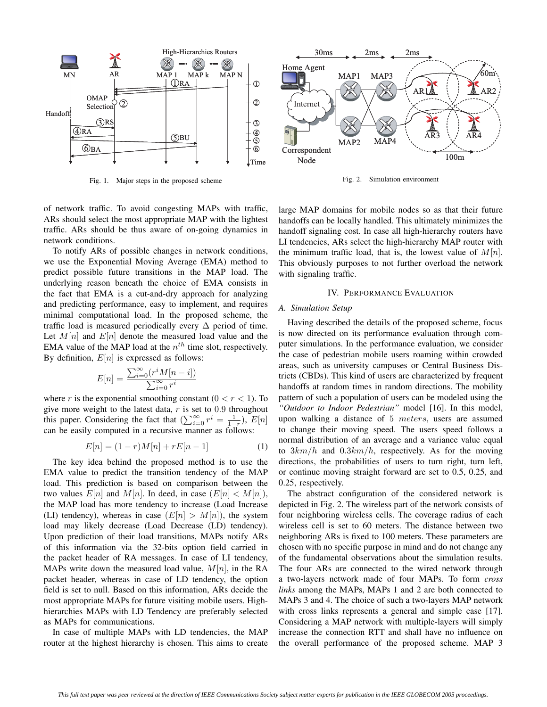

Fig. 1. Major steps in the proposed scheme



Fig. 2. Simulation environment

of network traffic. To avoid congesting MAPs with traffic, ARs should select the most appropriate MAP with the lightest traffic. ARs should be thus aware of on-going dynamics in network conditions.

To notify ARs of possible changes in network conditions, we use the Exponential Moving Average (EMA) method to predict possible future transitions in the MAP load. The underlying reason beneath the choice of EMA consists in the fact that EMA is a cut-and-dry approach for analyzing and predicting performance, easy to implement, and requires minimal computational load. In the proposed scheme, the traffic load is measured periodically every  $\Delta$  period of time. Let  $M[n]$  and  $E[n]$  denote the measured load value and the EMA value of the MAP load at the  $n<sup>th</sup>$  time slot, respectively. By definition,  $E[n]$  is expressed as follows:

$$
E[n] = \frac{\sum_{i=0}^{\infty} (r^i M[n-i])}{\sum_{i=0}^{\infty} r^i}
$$

where r is the exponential smoothing constant  $(0 < r < 1)$ . To give more weight to the latest data,  $r$  is set to 0.9 throughout this paper. Considering the fact that  $(\sum_{i=0}^{\infty} r^i = \frac{1}{1-r})$ ,  $E[n]$ can be easily computed in a recursive manner as follows:

$$
E[n] = (1 - r)M[n] + rE[n - 1]
$$
 (1)

The key idea behind the proposed method is to use the EMA value to predict the transition tendency of the MAP load. This prediction is based on comparison between the two values  $E[n]$  and  $M[n]$ . In deed, in case  $(E[n] < M[n])$ , the MAP load has more tendency to increase (Load Increase (LI) tendency), whereas in case  $(E[n] > M[n])$ , the system load may likely decrease (Load Decrease (LD) tendency). Upon prediction of their load transitions, MAPs notify ARs of this information via the 32-bits option field carried in the packet header of RA messages. In case of LI tendency, MAPs write down the measured load value,  $M[n]$ , in the RA packet header, whereas in case of LD tendency, the option field is set to null. Based on this information, ARs decide the most appropriate MAPs for future visiting mobile users. Highhierarchies MAPs with LD Tendency are preferably selected as MAPs for communications.

In case of multiple MAPs with LD tendencies, the MAP router at the highest hierarchy is chosen. This aims to create

large MAP domains for mobile nodes so as that their future handoffs can be locally handled. This ultimately minimizes the handoff signaling cost. In case all high-hierarchy routers have LI tendencies, ARs select the high-hierarchy MAP router with the minimum traffic load, that is, the lowest value of  $M[n]$ . This obviously purposes to not further overload the network with signaling traffic.

# IV. PERFORMANCE EVALUATION

## *A. Simulation Setup*

Having described the details of the proposed scheme, focus is now directed on its performance evaluation through computer simulations. In the performance evaluation, we consider the case of pedestrian mobile users roaming within crowded areas, such as university campuses or Central Business Districts (CBDs). This kind of users are characterized by frequent handoffs at random times in random directions. The mobility pattern of such a population of users can be modeled using the *"Outdoor to Indoor Pedestrian"* model [16]. In this model, upon walking a distance of 5 meters, users are assumed to change their moving speed. The users speed follows a normal distribution of an average and a variance value equal to  $3km/h$  and  $0.3km/h$ , respectively. As for the moving directions, the probabilities of users to turn right, turn left, or continue moving straight forward are set to 0.5, 0.25, and 0.25, respectively.

The abstract configuration of the considered network is depicted in Fig. 2. The wireless part of the network consists of four neighboring wireless cells. The coverage radius of each wireless cell is set to 60 meters. The distance between two neighboring ARs is fixed to 100 meters. These parameters are chosen with no specific purpose in mind and do not change any of the fundamental observations about the simulation results. The four ARs are connected to the wired network through a two-layers network made of four MAPs. To form *cross links* among the MAPs, MAPs 1 and 2 are both connected to MAPs 3 and 4. The choice of such a two-layers MAP network with cross links represents a general and simple case [17]. Considering a MAP network with multiple-layers will simply increase the connection RTT and shall have no influence on the overall performance of the proposed scheme. MAP 3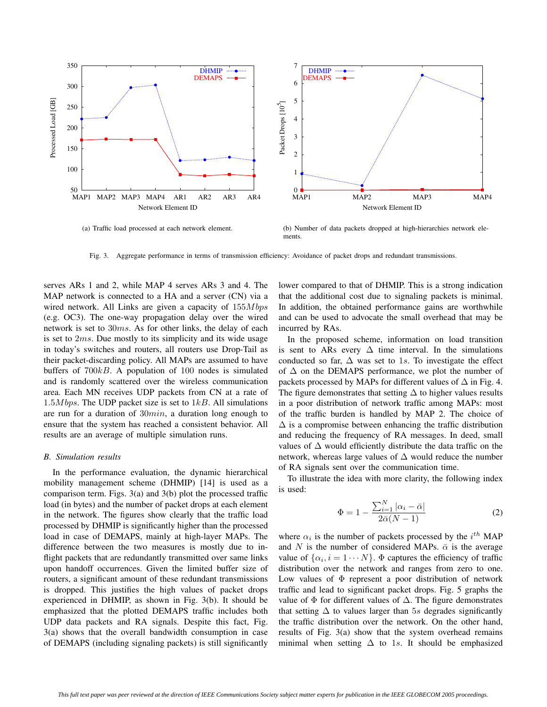

(a) Traffic load processed at each network element.

(b) Number of data packets dropped at high-hierarchies network elements.

Fig. 3. Aggregate performance in terms of transmission efficiency: Avoidance of packet drops and redundant transmissions.

serves ARs 1 and 2, while MAP 4 serves ARs 3 and 4. The MAP network is connected to a HA and a server (CN) via a wired network. All Links are given a capacity of  $155Mbps$ (e.g. OC3). The one-way propagation delay over the wired network is set to 30ms. As for other links, the delay of each is set to 2ms. Due mostly to its simplicity and its wide usage in today's switches and routers, all routers use Drop-Tail as their packet-discarding policy. All MAPs are assumed to have buffers of  $700kB$ . A population of 100 nodes is simulated and is randomly scattered over the wireless communication area. Each MN receives UDP packets from CN at a rate of 1.5M bps. The UDP packet size is set to  $1kB$ . All simulations are run for a duration of  $30min$ , a duration long enough to ensure that the system has reached a consistent behavior. All results are an average of multiple simulation runs.

# *B. Simulation results*

In the performance evaluation, the dynamic hierarchical mobility management scheme (DHMIP) [14] is used as a comparison term. Figs. 3(a) and 3(b) plot the processed traffic load (in bytes) and the number of packet drops at each element in the network. The figures show clearly that the traffic load processed by DHMIP is significantly higher than the processed load in case of DEMAPS, mainly at high-layer MAPs. The difference between the two measures is mostly due to inflight packets that are redundantly transmitted over same links upon handoff occurrences. Given the limited buffer size of routers, a significant amount of these redundant transmissions is dropped. This justifies the high values of packet drops experienced in DHMIP, as shown in Fig. 3(b). It should be emphasized that the plotted DEMAPS traffic includes both UDP data packets and RA signals. Despite this fact, Fig. 3(a) shows that the overall bandwidth consumption in case of DEMAPS (including signaling packets) is still significantly

lower compared to that of DHMIP. This is a strong indication that the additional cost due to signaling packets is minimal. In addition, the obtained performance gains are worthwhile and can be used to advocate the small overhead that may be incurred by RAs.

In the proposed scheme, information on load transition is sent to ARs every  $\Delta$  time interval. In the simulations conducted so far,  $\Delta$  was set to 1s. To investigate the effect of  $\Delta$  on the DEMAPS performance, we plot the number of packets processed by MAPs for different values of  $\Delta$  in Fig. 4. The figure demonstrates that setting  $\Delta$  to higher values results in a poor distribution of network traffic among MAPs: most of the traffic burden is handled by MAP 2. The choice of  $\Delta$  is a compromise between enhancing the traffic distribution and reducing the frequency of RA messages. In deed, small values of ∆ would efficiently distribute the data traffic on the network, whereas large values of  $\Delta$  would reduce the number of RA signals sent over the communication time.

To illustrate the idea with more clarity, the following index is used:

$$
\Phi = 1 - \frac{\sum_{i=1}^{N} |\alpha_i - \bar{\alpha}|}{2\bar{\alpha}(N-1)}
$$
\n(2)

where  $\alpha_i$  is the number of packets processed by the  $i^{th}$  MAP and N is the number of considered MAPs.  $\bar{\alpha}$  is the average value of  $\{\alpha_i, i = 1 \cdots N\}$ .  $\Phi$  captures the efficiency of traffic distribution over the network and ranges from zero to one. Low values of  $\Phi$  represent a poor distribution of network traffic and lead to significant packet drops. Fig. 5 graphs the value of  $\Phi$  for different values of  $\Delta$ . The figure demonstrates that setting  $\Delta$  to values larger than 5s degrades significantly the traffic distribution over the network. On the other hand, results of Fig. 3(a) show that the system overhead remains minimal when setting  $\Delta$  to 1s. It should be emphasized